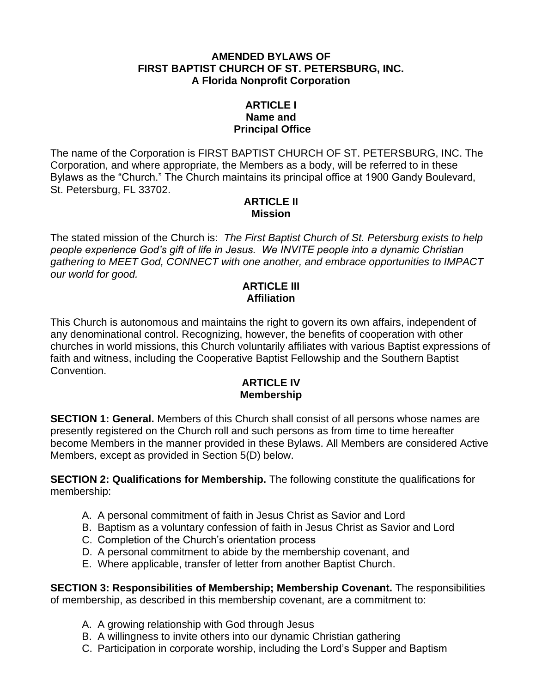#### **AMENDED BYLAWS OF FIRST BAPTIST CHURCH OF ST. PETERSBURG, INC. A Florida Nonprofit Corporation**

#### **ARTICLE I Name and Principal Office**

The name of the Corporation is FIRST BAPTIST CHURCH OF ST. PETERSBURG, INC. The Corporation, and where appropriate, the Members as a body, will be referred to in these Bylaws as the "Church." The Church maintains its principal office at 1900 Gandy Boulevard, St. Petersburg, FL 33702.

#### **ARTICLE II Mission**

The stated mission of the Church is: *The First Baptist Church of St. Petersburg exists to help people experience God's gift of life in Jesus. We INVITE people into a dynamic Christian gathering to MEET God, CONNECT with one another, and embrace opportunities to IMPACT our world for good.*

#### **ARTICLE III Affiliation**

This Church is autonomous and maintains the right to govern its own affairs, independent of any denominational control. Recognizing, however, the benefits of cooperation with other churches in world missions, this Church voluntarily affiliates with various Baptist expressions of faith and witness, including the Cooperative Baptist Fellowship and the Southern Baptist Convention.

#### **ARTICLE IV Membership**

**SECTION 1: General.** Members of this Church shall consist of all persons whose names are presently registered on the Church roll and such persons as from time to time hereafter become Members in the manner provided in these Bylaws. All Members are considered Active Members, except as provided in Section 5(D) below.

**SECTION 2: Qualifications for Membership.** The following constitute the qualifications for membership:

- A. A personal commitment of faith in Jesus Christ as Savior and Lord
- B. Baptism as a voluntary confession of faith in Jesus Christ as Savior and Lord
- C. Completion of the Church's orientation process
- D. A personal commitment to abide by the membership covenant, and
- E. Where applicable, transfer of letter from another Baptist Church.

**SECTION 3: Responsibilities of Membership; Membership Covenant.** The responsibilities of membership, as described in this membership covenant, are a commitment to:

- A. A growing relationship with God through Jesus
- B. A willingness to invite others into our dynamic Christian gathering
- C. Participation in corporate worship, including the Lord's Supper and Baptism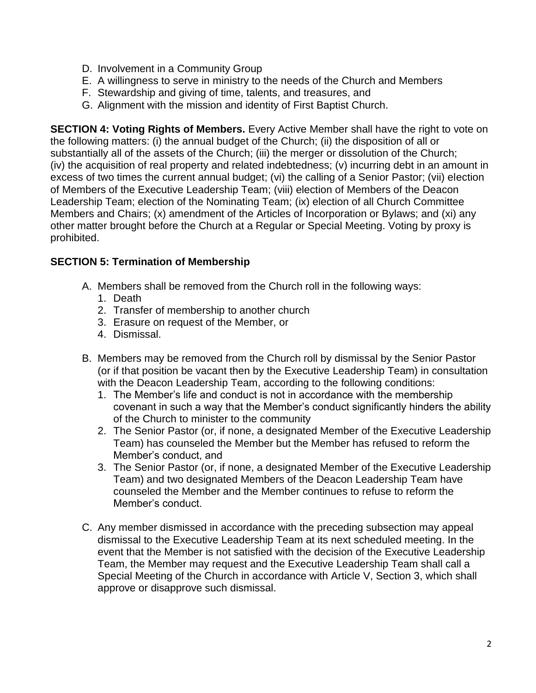- D. Involvement in a Community Group
- E. A willingness to serve in ministry to the needs of the Church and Members
- F. Stewardship and giving of time, talents, and treasures, and
- G. Alignment with the mission and identity of First Baptist Church.

**SECTION 4: Voting Rights of Members.** Every Active Member shall have the right to vote on the following matters: (i) the annual budget of the Church; (ii) the disposition of all or substantially all of the assets of the Church; (iii) the merger or dissolution of the Church; (iv) the acquisition of real property and related indebtedness; (v) incurring debt in an amount in excess of two times the current annual budget; (vi) the calling of a Senior Pastor; (vii) election of Members of the Executive Leadership Team; (viii) election of Members of the Deacon Leadership Team; election of the Nominating Team; (ix) election of all Church Committee Members and Chairs; (x) amendment of the Articles of Incorporation or Bylaws; and (xi) any other matter brought before the Church at a Regular or Special Meeting. Voting by proxy is prohibited.

## **SECTION 5: Termination of Membership**

- A. Members shall be removed from the Church roll in the following ways:
	- 1. Death
	- 2. Transfer of membership to another church
	- 3. Erasure on request of the Member, or
	- 4. Dismissal.
- B. Members may be removed from the Church roll by dismissal by the Senior Pastor (or if that position be vacant then by the Executive Leadership Team) in consultation with the Deacon Leadership Team, according to the following conditions:
	- 1. The Member's life and conduct is not in accordance with the membership covenant in such a way that the Member's conduct significantly hinders the ability of the Church to minister to the community
	- 2. The Senior Pastor (or, if none, a designated Member of the Executive Leadership Team) has counseled the Member but the Member has refused to reform the Member's conduct, and
	- 3. The Senior Pastor (or, if none, a designated Member of the Executive Leadership Team) and two designated Members of the Deacon Leadership Team have counseled the Member and the Member continues to refuse to reform the Member's conduct.
- C. Any member dismissed in accordance with the preceding subsection may appeal dismissal to the Executive Leadership Team at its next scheduled meeting. In the event that the Member is not satisfied with the decision of the Executive Leadership Team, the Member may request and the Executive Leadership Team shall call a Special Meeting of the Church in accordance with Article V, Section 3, which shall approve or disapprove such dismissal.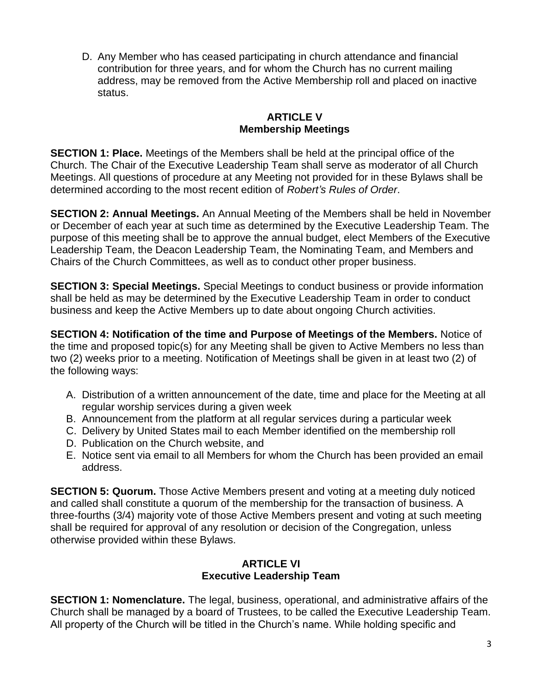D. Any Member who has ceased participating in church attendance and financial contribution for three years, and for whom the Church has no current mailing address, may be removed from the Active Membership roll and placed on inactive status.

## **ARTICLE V Membership Meetings**

**SECTION 1: Place.** Meetings of the Members shall be held at the principal office of the Church. The Chair of the Executive Leadership Team shall serve as moderator of all Church Meetings. All questions of procedure at any Meeting not provided for in these Bylaws shall be determined according to the most recent edition of *Robert's Rules of Order*.

**SECTION 2: Annual Meetings.** An Annual Meeting of the Members shall be held in November or December of each year at such time as determined by the Executive Leadership Team. The purpose of this meeting shall be to approve the annual budget, elect Members of the Executive Leadership Team, the Deacon Leadership Team, the Nominating Team, and Members and Chairs of the Church Committees, as well as to conduct other proper business.

**SECTION 3: Special Meetings.** Special Meetings to conduct business or provide information shall be held as may be determined by the Executive Leadership Team in order to conduct business and keep the Active Members up to date about ongoing Church activities.

**SECTION 4: Notification of the time and Purpose of Meetings of the Members.** Notice of the time and proposed topic(s) for any Meeting shall be given to Active Members no less than two (2) weeks prior to a meeting. Notification of Meetings shall be given in at least two (2) of the following ways:

- A. Distribution of a written announcement of the date, time and place for the Meeting at all regular worship services during a given week
- B. Announcement from the platform at all regular services during a particular week
- C. Delivery by United States mail to each Member identified on the membership roll
- D. Publication on the Church website, and
- E. Notice sent via email to all Members for whom the Church has been provided an email address.

**SECTION 5: Quorum.** Those Active Members present and voting at a meeting duly noticed and called shall constitute a quorum of the membership for the transaction of business. A three-fourths (3/4) majority vote of those Active Members present and voting at such meeting shall be required for approval of any resolution or decision of the Congregation, unless otherwise provided within these Bylaws.

## **ARTICLE VI Executive Leadership Team**

**SECTION 1: Nomenclature.** The legal, business, operational, and administrative affairs of the Church shall be managed by a board of Trustees, to be called the Executive Leadership Team. All property of the Church will be titled in the Church's name. While holding specific and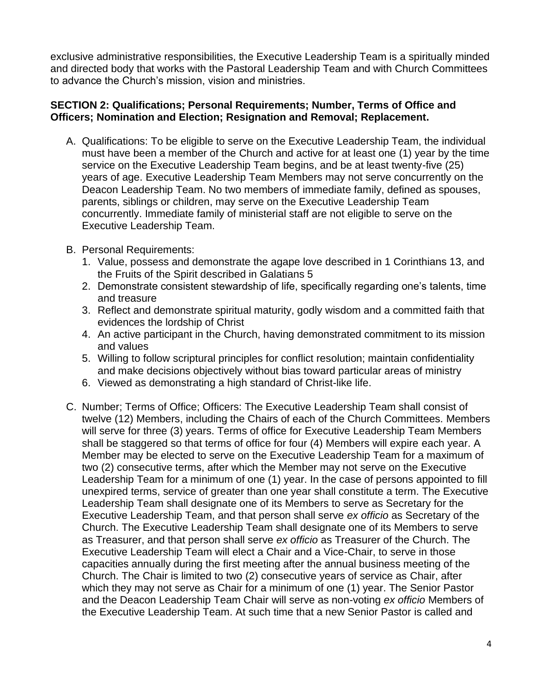exclusive administrative responsibilities, the Executive Leadership Team is a spiritually minded and directed body that works with the Pastoral Leadership Team and with Church Committees to advance the Church's mission, vision and ministries.

# **SECTION 2: Qualifications; Personal Requirements; Number, Terms of Office and Officers; Nomination and Election; Resignation and Removal; Replacement.**

- A. Qualifications: To be eligible to serve on the Executive Leadership Team, the individual must have been a member of the Church and active for at least one (1) year by the time service on the Executive Leadership Team begins, and be at least twenty-five (25) years of age. Executive Leadership Team Members may not serve concurrently on the Deacon Leadership Team. No two members of immediate family, defined as spouses, parents, siblings or children, may serve on the Executive Leadership Team concurrently. Immediate family of ministerial staff are not eligible to serve on the Executive Leadership Team.
- B. Personal Requirements:
	- 1. Value, possess and demonstrate the agape love described in 1 Corinthians 13, and the Fruits of the Spirit described in Galatians 5
	- 2. Demonstrate consistent stewardship of life, specifically regarding one's talents, time and treasure
	- 3. Reflect and demonstrate spiritual maturity, godly wisdom and a committed faith that evidences the lordship of Christ
	- 4. An active participant in the Church, having demonstrated commitment to its mission and values
	- 5. Willing to follow scriptural principles for conflict resolution; maintain confidentiality and make decisions objectively without bias toward particular areas of ministry
	- 6. Viewed as demonstrating a high standard of Christ-like life.
- C. Number; Terms of Office; Officers: The Executive Leadership Team shall consist of twelve (12) Members, including the Chairs of each of the Church Committees. Members will serve for three (3) years. Terms of office for Executive Leadership Team Members shall be staggered so that terms of office for four (4) Members will expire each year. A Member may be elected to serve on the Executive Leadership Team for a maximum of two (2) consecutive terms, after which the Member may not serve on the Executive Leadership Team for a minimum of one (1) year. In the case of persons appointed to fill unexpired terms, service of greater than one year shall constitute a term. The Executive Leadership Team shall designate one of its Members to serve as Secretary for the Executive Leadership Team, and that person shall serve *ex officio* as Secretary of the Church. The Executive Leadership Team shall designate one of its Members to serve as Treasurer, and that person shall serve *ex officio* as Treasurer of the Church. The Executive Leadership Team will elect a Chair and a Vice-Chair, to serve in those capacities annually during the first meeting after the annual business meeting of the Church. The Chair is limited to two (2) consecutive years of service as Chair, after which they may not serve as Chair for a minimum of one (1) year. The Senior Pastor and the Deacon Leadership Team Chair will serve as non-voting *ex officio* Members of the Executive Leadership Team. At such time that a new Senior Pastor is called and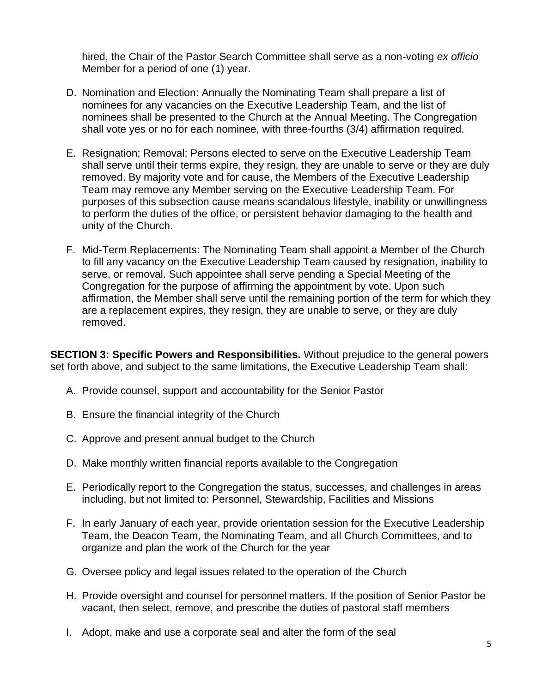hired, the Chair of the Pastor Search Committee shall serve as a non-voting *ex officio* Member for a period of one (1) year.

- D. Nomination and Election: Annually the Nominating Team shall prepare a list of nominees for any vacancies on the Executive Leadership Team, and the list of nominees shall be presented to the Church at the Annual Meeting. The Congregation shall vote yes or no for each nominee, with three-fourths (3/4) affirmation required.
- E. Resignation; Removal: Persons elected to serve on the Executive Leadership Team shall serve until their terms expire, they resign, they are unable to serve or they are duly removed. By majority vote and for cause, the Members of the Executive Leadership Team may remove any Member serving on the Executive Leadership Team. For purposes of this subsection cause means scandalous lifestyle, inability or unwillingness to perform the duties of the office, or persistent behavior damaging to the health and unity of the Church.
- F. Mid-Term Replacements: The Nominating Team shall appoint a Member of the Church to fill any vacancy on the Executive Leadership Team caused by resignation, inability to serve, or removal. Such appointee shall serve pending a Special Meeting of the Congregation for the purpose of affirming the appointment by vote. Upon such affirmation, the Member shall serve until the remaining portion of the term for which they are a replacement expires, they resign, they are unable to serve, or they are duly removed.

**SECTION 3: Specific Powers and Responsibilities.** Without prejudice to the general powers set forth above, and subject to the same limitations, the Executive Leadership Team shall:

- A. Provide counsel, support and accountability for the Senior Pastor
- B. Ensure the financial integrity of the Church
- C. Approve and present annual budget to the Church
- D. Make monthly written financial reports available to the Congregation
- E. Periodically report to the Congregation the status, successes, and challenges in areas including, but not limited to: Personnel, Stewardship, Facilities and Missions
- F. In early January of each year, provide orientation session for the Executive Leadership Team, the Deacon Team, the Nominating Team, and all Church Committees, and to organize and plan the work of the Church for the year
- G. Oversee policy and legal issues related to the operation of the Church
- H. Provide oversight and counsel for personnel matters. If the position of Senior Pastor be vacant, then select, remove, and prescribe the duties of pastoral staff members
- I. Adopt, make and use a corporate seal and alter the form of the seal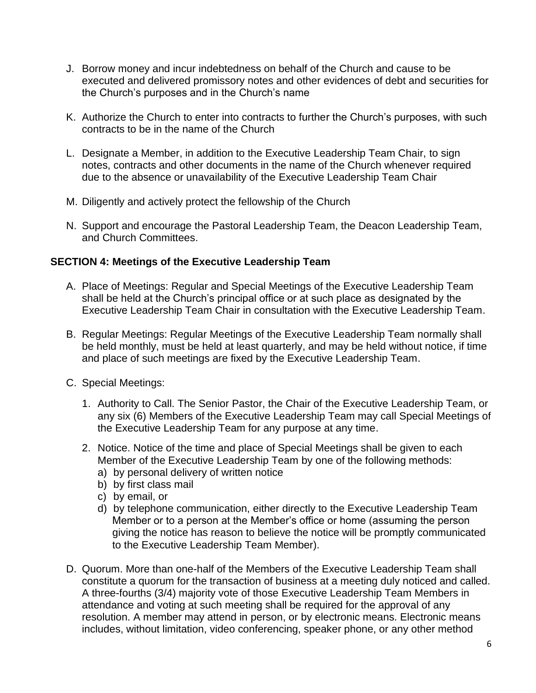- J. Borrow money and incur indebtedness on behalf of the Church and cause to be executed and delivered promissory notes and other evidences of debt and securities for the Church's purposes and in the Church's name
- K. Authorize the Church to enter into contracts to further the Church's purposes, with such contracts to be in the name of the Church
- L. Designate a Member, in addition to the Executive Leadership Team Chair, to sign notes, contracts and other documents in the name of the Church whenever required due to the absence or unavailability of the Executive Leadership Team Chair
- M. Diligently and actively protect the fellowship of the Church
- N. Support and encourage the Pastoral Leadership Team, the Deacon Leadership Team, and Church Committees.

# **SECTION 4: Meetings of the Executive Leadership Team**

- A. Place of Meetings: Regular and Special Meetings of the Executive Leadership Team shall be held at the Church's principal office or at such place as designated by the Executive Leadership Team Chair in consultation with the Executive Leadership Team.
- B. Regular Meetings: Regular Meetings of the Executive Leadership Team normally shall be held monthly, must be held at least quarterly, and may be held without notice, if time and place of such meetings are fixed by the Executive Leadership Team.
- C. Special Meetings:
	- 1. Authority to Call. The Senior Pastor, the Chair of the Executive Leadership Team, or any six (6) Members of the Executive Leadership Team may call Special Meetings of the Executive Leadership Team for any purpose at any time.
	- 2. Notice. Notice of the time and place of Special Meetings shall be given to each Member of the Executive Leadership Team by one of the following methods:
		- a) by personal delivery of written notice
		- b) by first class mail
		- c) by email, or
		- d) by telephone communication, either directly to the Executive Leadership Team Member or to a person at the Member's office or home (assuming the person giving the notice has reason to believe the notice will be promptly communicated to the Executive Leadership Team Member).
- D. Quorum. More than one-half of the Members of the Executive Leadership Team shall constitute a quorum for the transaction of business at a meeting duly noticed and called. A three-fourths (3/4) majority vote of those Executive Leadership Team Members in attendance and voting at such meeting shall be required for the approval of any resolution. A member may attend in person, or by electronic means. Electronic means includes, without limitation, video conferencing, speaker phone, or any other method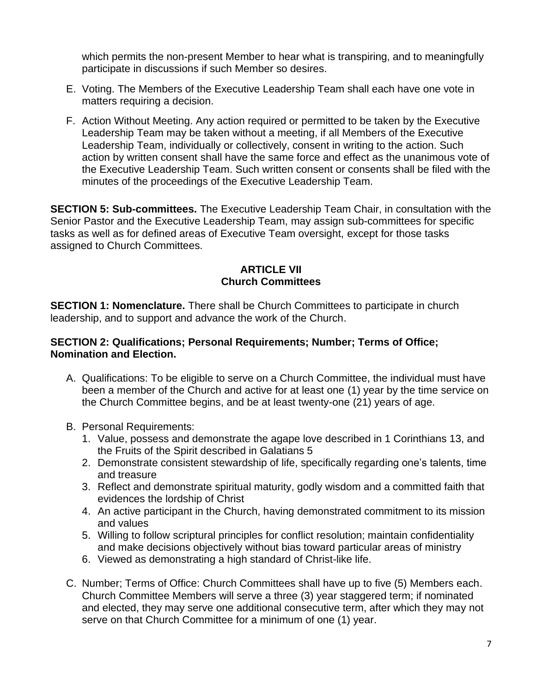which permits the non-present Member to hear what is transpiring, and to meaningfully participate in discussions if such Member so desires.

- E. Voting. The Members of the Executive Leadership Team shall each have one vote in matters requiring a decision.
- F. Action Without Meeting. Any action required or permitted to be taken by the Executive Leadership Team may be taken without a meeting, if all Members of the Executive Leadership Team, individually or collectively, consent in writing to the action. Such action by written consent shall have the same force and effect as the unanimous vote of the Executive Leadership Team. Such written consent or consents shall be filed with the minutes of the proceedings of the Executive Leadership Team.

**SECTION 5: Sub-committees.** The Executive Leadership Team Chair, in consultation with the Senior Pastor and the Executive Leadership Team, may assign sub-committees for specific tasks as well as for defined areas of Executive Team oversight, except for those tasks assigned to Church Committees.

# **ARTICLE VII Church Committees**

**SECTION 1: Nomenclature.** There shall be Church Committees to participate in church leadership, and to support and advance the work of the Church.

#### **SECTION 2: Qualifications; Personal Requirements; Number; Terms of Office; Nomination and Election.**

- A. Qualifications: To be eligible to serve on a Church Committee, the individual must have been a member of the Church and active for at least one (1) year by the time service on the Church Committee begins, and be at least twenty-one (21) years of age.
- B. Personal Requirements:
	- 1. Value, possess and demonstrate the agape love described in 1 Corinthians 13, and the Fruits of the Spirit described in Galatians 5
	- 2. Demonstrate consistent stewardship of life, specifically regarding one's talents, time and treasure
	- 3. Reflect and demonstrate spiritual maturity, godly wisdom and a committed faith that evidences the lordship of Christ
	- 4. An active participant in the Church, having demonstrated commitment to its mission and values
	- 5. Willing to follow scriptural principles for conflict resolution; maintain confidentiality and make decisions objectively without bias toward particular areas of ministry
	- 6. Viewed as demonstrating a high standard of Christ-like life.
- C. Number; Terms of Office: Church Committees shall have up to five (5) Members each. Church Committee Members will serve a three (3) year staggered term; if nominated and elected, they may serve one additional consecutive term, after which they may not serve on that Church Committee for a minimum of one (1) year.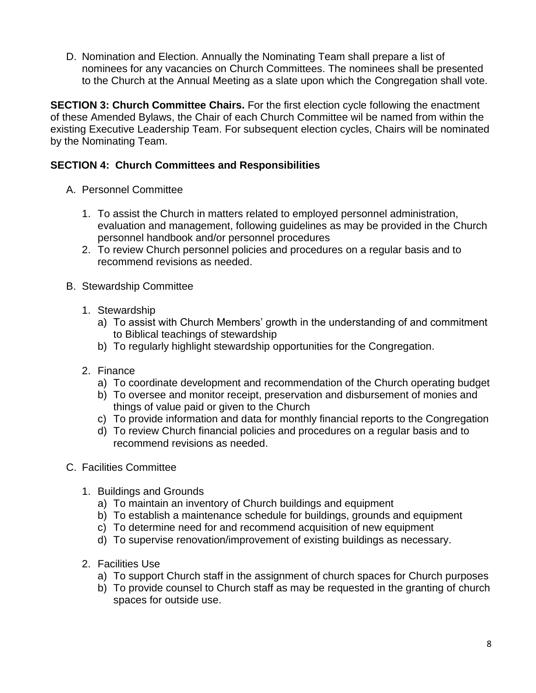D. Nomination and Election. Annually the Nominating Team shall prepare a list of nominees for any vacancies on Church Committees. The nominees shall be presented to the Church at the Annual Meeting as a slate upon which the Congregation shall vote.

**SECTION 3: Church Committee Chairs.** For the first election cycle following the enactment of these Amended Bylaws, the Chair of each Church Committee wil be named from within the existing Executive Leadership Team. For subsequent election cycles, Chairs will be nominated by the Nominating Team.

# **SECTION 4: Church Committees and Responsibilities**

- A. Personnel Committee
	- 1. To assist the Church in matters related to employed personnel administration, evaluation and management, following guidelines as may be provided in the Church personnel handbook and/or personnel procedures
	- 2. To review Church personnel policies and procedures on a regular basis and to recommend revisions as needed.
- B. Stewardship Committee
	- 1. Stewardship
		- a) To assist with Church Members' growth in the understanding of and commitment to Biblical teachings of stewardship
		- b) To regularly highlight stewardship opportunities for the Congregation.
	- 2. Finance
		- a) To coordinate development and recommendation of the Church operating budget
		- b) To oversee and monitor receipt, preservation and disbursement of monies and things of value paid or given to the Church
		- c) To provide information and data for monthly financial reports to the Congregation
		- d) To review Church financial policies and procedures on a regular basis and to recommend revisions as needed.
- C. Facilities Committee
	- 1. Buildings and Grounds
		- a) To maintain an inventory of Church buildings and equipment
		- b) To establish a maintenance schedule for buildings, grounds and equipment
		- c) To determine need for and recommend acquisition of new equipment
		- d) To supervise renovation/improvement of existing buildings as necessary.
	- 2. Facilities Use
		- a) To support Church staff in the assignment of church spaces for Church purposes
		- b) To provide counsel to Church staff as may be requested in the granting of church spaces for outside use.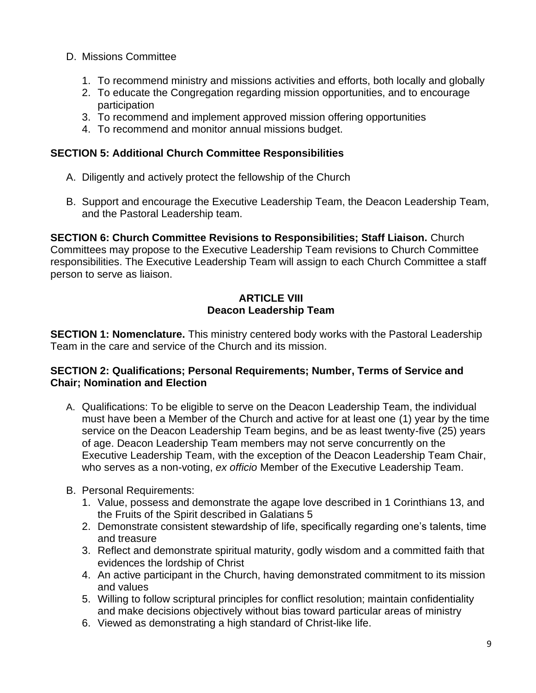- D. Missions Committee
	- 1. To recommend ministry and missions activities and efforts, both locally and globally
	- 2. To educate the Congregation regarding mission opportunities, and to encourage participation
	- 3. To recommend and implement approved mission offering opportunities
	- 4. To recommend and monitor annual missions budget.

# **SECTION 5: Additional Church Committee Responsibilities**

- A. Diligently and actively protect the fellowship of the Church
- B. Support and encourage the Executive Leadership Team, the Deacon Leadership Team, and the Pastoral Leadership team.

**SECTION 6: Church Committee Revisions to Responsibilities; Staff Liaison.** Church Committees may propose to the Executive Leadership Team revisions to Church Committee responsibilities. The Executive Leadership Team will assign to each Church Committee a staff person to serve as liaison.

## **ARTICLE VIII Deacon Leadership Team**

**SECTION 1: Nomenclature.** This ministry centered body works with the Pastoral Leadership Team in the care and service of the Church and its mission.

# **SECTION 2: Qualifications; Personal Requirements; Number, Terms of Service and Chair; Nomination and Election**

- A. Qualifications: To be eligible to serve on the Deacon Leadership Team, the individual must have been a Member of the Church and active for at least one (1) year by the time service on the Deacon Leadership Team begins, and be as least twenty-five (25) years of age. Deacon Leadership Team members may not serve concurrently on the Executive Leadership Team, with the exception of the Deacon Leadership Team Chair, who serves as a non-voting, *ex officio* Member of the Executive Leadership Team.
- B. Personal Requirements:
	- 1. Value, possess and demonstrate the agape love described in 1 Corinthians 13, and the Fruits of the Spirit described in Galatians 5
	- 2. Demonstrate consistent stewardship of life, specifically regarding one's talents, time and treasure
	- 3. Reflect and demonstrate spiritual maturity, godly wisdom and a committed faith that evidences the lordship of Christ
	- 4. An active participant in the Church, having demonstrated commitment to its mission and values
	- 5. Willing to follow scriptural principles for conflict resolution; maintain confidentiality and make decisions objectively without bias toward particular areas of ministry
	- 6. Viewed as demonstrating a high standard of Christ-like life.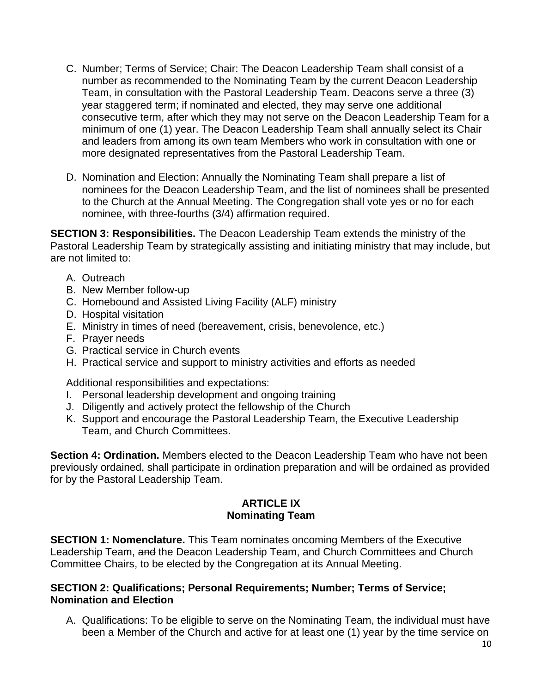- C. Number; Terms of Service; Chair: The Deacon Leadership Team shall consist of a number as recommended to the Nominating Team by the current Deacon Leadership Team, in consultation with the Pastoral Leadership Team. Deacons serve a three (3) year staggered term; if nominated and elected, they may serve one additional consecutive term, after which they may not serve on the Deacon Leadership Team for a minimum of one (1) year. The Deacon Leadership Team shall annually select its Chair and leaders from among its own team Members who work in consultation with one or more designated representatives from the Pastoral Leadership Team.
- D. Nomination and Election: Annually the Nominating Team shall prepare a list of nominees for the Deacon Leadership Team, and the list of nominees shall be presented to the Church at the Annual Meeting. The Congregation shall vote yes or no for each nominee, with three-fourths (3/4) affirmation required.

**SECTION 3: Responsibilities.** The Deacon Leadership Team extends the ministry of the Pastoral Leadership Team by strategically assisting and initiating ministry that may include, but are not limited to:

- A. Outreach
- B. New Member follow-up
- C. Homebound and Assisted Living Facility (ALF) ministry
- D. Hospital visitation
- E. Ministry in times of need (bereavement, crisis, benevolence, etc.)
- F. Prayer needs
- G. Practical service in Church events
- H. Practical service and support to ministry activities and efforts as needed

Additional responsibilities and expectations:

- I. Personal leadership development and ongoing training
- J. Diligently and actively protect the fellowship of the Church
- K. Support and encourage the Pastoral Leadership Team, the Executive Leadership Team, and Church Committees.

**Section 4: Ordination.** Members elected to the Deacon Leadership Team who have not been previously ordained, shall participate in ordination preparation and will be ordained as provided for by the Pastoral Leadership Team.

#### **ARTICLE IX Nominating Team**

**SECTION 1: Nomenclature.** This Team nominates oncoming Members of the Executive Leadership Team, and the Deacon Leadership Team, and Church Committees and Church Committee Chairs, to be elected by the Congregation at its Annual Meeting.

#### **SECTION 2: Qualifications; Personal Requirements; Number; Terms of Service; Nomination and Election**

A. Qualifications: To be eligible to serve on the Nominating Team, the individual must have been a Member of the Church and active for at least one (1) year by the time service on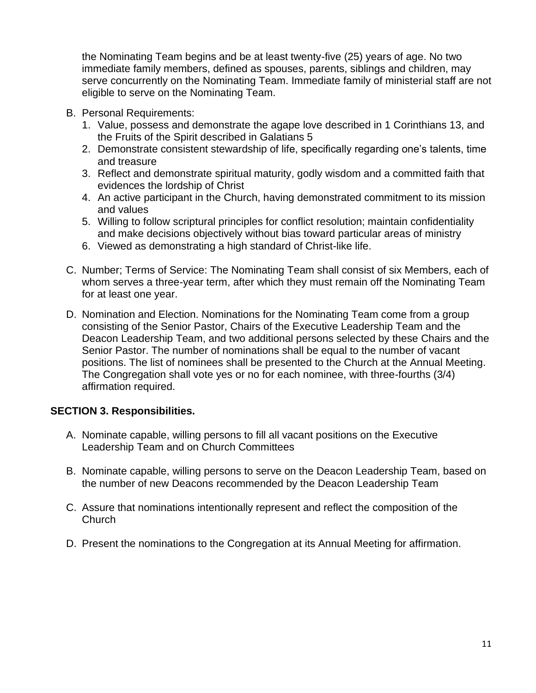the Nominating Team begins and be at least twenty-five (25) years of age. No two immediate family members, defined as spouses, parents, siblings and children, may serve concurrently on the Nominating Team. Immediate family of ministerial staff are not eligible to serve on the Nominating Team.

- B. Personal Requirements:
	- 1. Value, possess and demonstrate the agape love described in 1 Corinthians 13, and the Fruits of the Spirit described in Galatians 5
	- 2. Demonstrate consistent stewardship of life, specifically regarding one's talents, time and treasure
	- 3. Reflect and demonstrate spiritual maturity, godly wisdom and a committed faith that evidences the lordship of Christ
	- 4. An active participant in the Church, having demonstrated commitment to its mission and values
	- 5. Willing to follow scriptural principles for conflict resolution; maintain confidentiality and make decisions objectively without bias toward particular areas of ministry
	- 6. Viewed as demonstrating a high standard of Christ-like life.
- C. Number; Terms of Service: The Nominating Team shall consist of six Members, each of whom serves a three-year term, after which they must remain off the Nominating Team for at least one year.
- D. Nomination and Election. Nominations for the Nominating Team come from a group consisting of the Senior Pastor, Chairs of the Executive Leadership Team and the Deacon Leadership Team, and two additional persons selected by these Chairs and the Senior Pastor. The number of nominations shall be equal to the number of vacant positions. The list of nominees shall be presented to the Church at the Annual Meeting. The Congregation shall vote yes or no for each nominee, with three-fourths (3/4) affirmation required.

#### **SECTION 3. Responsibilities.**

- A. Nominate capable, willing persons to fill all vacant positions on the Executive Leadership Team and on Church Committees
- B. Nominate capable, willing persons to serve on the Deacon Leadership Team, based on the number of new Deacons recommended by the Deacon Leadership Team
- C. Assure that nominations intentionally represent and reflect the composition of the **Church**
- D. Present the nominations to the Congregation at its Annual Meeting for affirmation.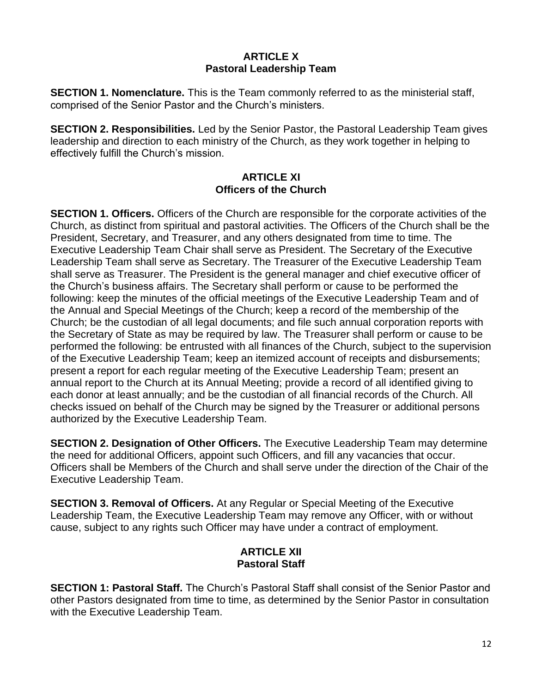## **ARTICLE X Pastoral Leadership Team**

**SECTION 1. Nomenclature.** This is the Team commonly referred to as the ministerial staff, comprised of the Senior Pastor and the Church's ministers.

**SECTION 2. Responsibilities.** Led by the Senior Pastor, the Pastoral Leadership Team gives leadership and direction to each ministry of the Church, as they work together in helping to effectively fulfill the Church's mission.

## **ARTICLE XI Officers of the Church**

**SECTION 1. Officers.** Officers of the Church are responsible for the corporate activities of the Church, as distinct from spiritual and pastoral activities. The Officers of the Church shall be the President, Secretary, and Treasurer, and any others designated from time to time. The Executive Leadership Team Chair shall serve as President. The Secretary of the Executive Leadership Team shall serve as Secretary. The Treasurer of the Executive Leadership Team shall serve as Treasurer. The President is the general manager and chief executive officer of the Church's business affairs. The Secretary shall perform or cause to be performed the following: keep the minutes of the official meetings of the Executive Leadership Team and of the Annual and Special Meetings of the Church; keep a record of the membership of the Church; be the custodian of all legal documents; and file such annual corporation reports with the Secretary of State as may be required by law. The Treasurer shall perform or cause to be performed the following: be entrusted with all finances of the Church, subject to the supervision of the Executive Leadership Team; keep an itemized account of receipts and disbursements; present a report for each regular meeting of the Executive Leadership Team; present an annual report to the Church at its Annual Meeting; provide a record of all identified giving to each donor at least annually; and be the custodian of all financial records of the Church. All checks issued on behalf of the Church may be signed by the Treasurer or additional persons authorized by the Executive Leadership Team.

**SECTION 2. Designation of Other Officers.** The Executive Leadership Team may determine the need for additional Officers, appoint such Officers, and fill any vacancies that occur. Officers shall be Members of the Church and shall serve under the direction of the Chair of the Executive Leadership Team.

**SECTION 3. Removal of Officers.** At any Regular or Special Meeting of the Executive Leadership Team, the Executive Leadership Team may remove any Officer, with or without cause, subject to any rights such Officer may have under a contract of employment.

# **ARTICLE XII Pastoral Staff**

**SECTION 1: Pastoral Staff.** The Church's Pastoral Staff shall consist of the Senior Pastor and other Pastors designated from time to time, as determined by the Senior Pastor in consultation with the Executive Leadership Team.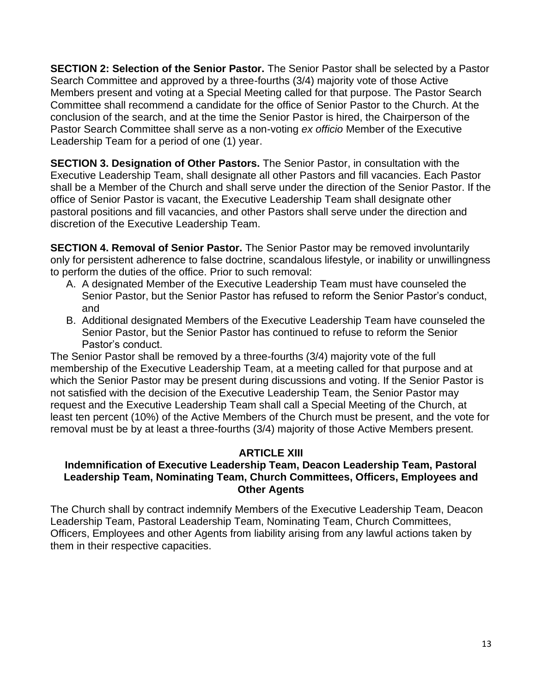**SECTION 2: Selection of the Senior Pastor.** The Senior Pastor shall be selected by a Pastor Search Committee and approved by a three-fourths (3/4) majority vote of those Active Members present and voting at a Special Meeting called for that purpose. The Pastor Search Committee shall recommend a candidate for the office of Senior Pastor to the Church. At the conclusion of the search, and at the time the Senior Pastor is hired, the Chairperson of the Pastor Search Committee shall serve as a non-voting *ex officio* Member of the Executive Leadership Team for a period of one (1) year.

**SECTION 3. Designation of Other Pastors.** The Senior Pastor, in consultation with the Executive Leadership Team, shall designate all other Pastors and fill vacancies. Each Pastor shall be a Member of the Church and shall serve under the direction of the Senior Pastor. If the office of Senior Pastor is vacant, the Executive Leadership Team shall designate other pastoral positions and fill vacancies, and other Pastors shall serve under the direction and discretion of the Executive Leadership Team.

**SECTION 4. Removal of Senior Pastor.** The Senior Pastor may be removed involuntarily only for persistent adherence to false doctrine, scandalous lifestyle, or inability or unwillingness to perform the duties of the office. Prior to such removal:

- A. A designated Member of the Executive Leadership Team must have counseled the Senior Pastor, but the Senior Pastor has refused to reform the Senior Pastor's conduct, and
- B. Additional designated Members of the Executive Leadership Team have counseled the Senior Pastor, but the Senior Pastor has continued to refuse to reform the Senior Pastor's conduct.

The Senior Pastor shall be removed by a three-fourths (3/4) majority vote of the full membership of the Executive Leadership Team, at a meeting called for that purpose and at which the Senior Pastor may be present during discussions and voting. If the Senior Pastor is not satisfied with the decision of the Executive Leadership Team, the Senior Pastor may request and the Executive Leadership Team shall call a Special Meeting of the Church, at least ten percent (10%) of the Active Members of the Church must be present, and the vote for removal must be by at least a three-fourths (3/4) majority of those Active Members present.

# **ARTICLE XIII**

## **Indemnification of Executive Leadership Team, Deacon Leadership Team, Pastoral Leadership Team, Nominating Team, Church Committees, Officers, Employees and Other Agents**

The Church shall by contract indemnify Members of the Executive Leadership Team, Deacon Leadership Team, Pastoral Leadership Team, Nominating Team, Church Committees, Officers, Employees and other Agents from liability arising from any lawful actions taken by them in their respective capacities.